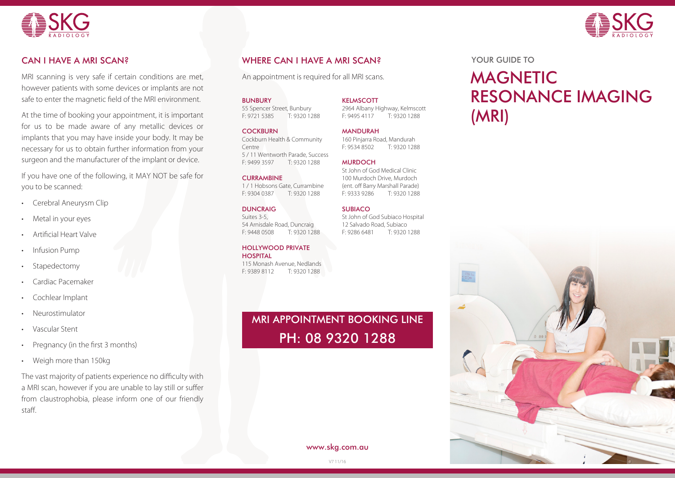



# CAN I HAVE A MRI SCAN?

MRI scanning is very safe if certain conditions are met, however patients with some devices or implants are not safe to enter the magnetic field of the MRI environment.

At the time of booking your appointment, it is important for us to be made aware of any metallic devices or implants that you may have inside your body. It may be necessary for us to obtain further information from your surgeon and the manufacturer of the implant or device.

If you have one of the following, it MAY NOT be safe for you to be scanned:

- **Cerebral Aneurysm Clip**
- Metal in your eyes
- Artificial Heart Valve
- **Infusion Pump**
- Stapedectomy
- Cardiac Pacemaker
- Cochlear Implant
- **Neurostimulator**
- • Vascular Stent
- Pregnancy (in the first 3 months)
- Weigh more than 150kg

The vast majority of patients experience no difficulty with a MRI scan, however if you are unable to lay still or suffer from claustrophobia, please inform one of our friendly staff.

# WHERE CAN I HAVE A MRI SCAN?

An appointment is required for all MRI scans. MAGNETIC

**KELMSCOTT** 

**MANDURAH** 

**MURDOCH** 

**SUBIACO** 

2964 Albany Highway, Kelmscott F: 9495 4117 T: 9320 1288

160 Pinjarra Road, Mandurah<br>E: 9534 8502 T: 9320 128

St John of God Medical Clinic 100 Murdoch Drive, Murdoch (ent. off Barry Marshall Parade) F: 9333 9286 T: 9320 1288

St John of God Subiaco Hospital 12 Salvado Road, Subiaco F: 9286 6481 T: 9320 1288

T: 9320 1288

BUNBURY 55 Spencer Street, Bunbury

F: 9721 5385 T: 9320 1288

#### **COCKBURN** Cockburn Health & Community Centre 5 / 11 Wentworth Parade, Success T: 9320 1288

### **CURRAMBINE**

1 / 1 Hobsons Gate, Currambine F: 9304 0387 T: 9320 1288

### **DUNCRAIG**

Suites 3-5 54 Arnisdale Road, Duncraig F: 9448 0508 T: 9320 1288

### HOLLYWOOD PRIVATE

**HOSPITAL** 115 Monash Avenue, Nedlands F: 9389 8112 T: 9320 1288

# MRI APPOINTMENT BOOKING LINE PH: 08 9320 1288

YOUR GUIDE TO

# RESONANCE IMAGING (MRI)



www.skg.com.au